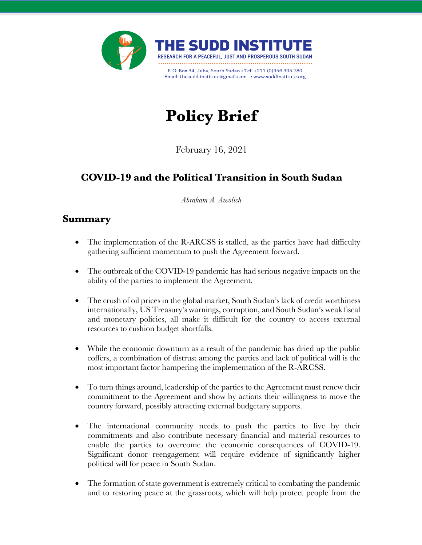

# **Policy Brief**

February 16, 2021

## **COVID-19 and the Political Transition in South Sudan**

*Abraham A. Awolich*

## **Summary**

- The implementation of the R-ARCSS is stalled, as the parties have had difficulty gathering sufficient momentum to push the Agreement forward.
- The outbreak of the COVID-19 pandemic has had serious negative impacts on the ability of the parties to implement the Agreement.
- The crush of oil prices in the global market, South Sudan's lack of credit worthiness internationally, US Treasury's warnings, corruption, and South Sudan's weak fiscal and monetary policies, all make it difficult for the country to access external resources to cushion budget shortfalls.
- While the economic downturn as a result of the pandemic has dried up the public coffers, a combination of distrust among the parties and lack of political will is the most important factor hampering the implementation of the R-ARCSS.
- To turn things around, leadership of the parties to the Agreement must renew their commitment to the Agreement and show by actions their willingness to move the country forward, possibly attracting external budgetary supports.
- The international community needs to push the parties to live by their commitments and also contribute necessary financial and material resources to enable the parties to overcome the economic consequences of COVID-19. Significant donor reengagement will require evidence of significantly higher political will for peace in South Sudan.
- The formation of state government is extremely critical to combating the pandemic and to restoring peace at the grassroots, which will help protect people from the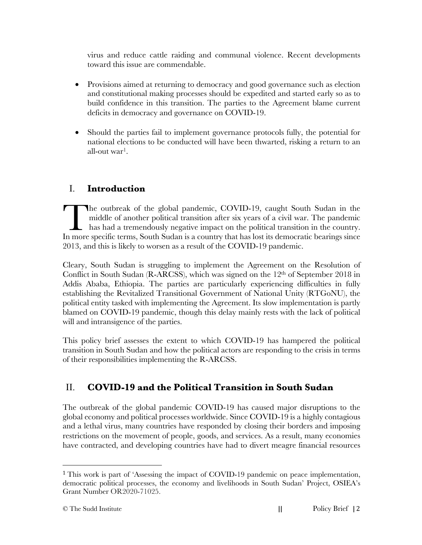virus and reduce cattle raiding and communal violence. Recent developments toward this issue are commendable.

- Provisions aimed at returning to democracy and good governance such as election and constitutional making processes should be expedited and started early so as to build confidence in this transition. The parties to the Agreement blame current deficits in democracy and governance on COVID-19.
- Should the parties fail to implement governance protocols fully, the potential for national elections to be conducted will have been thwarted, risking a return to an all-out war1.

### I. **Introduction**

he outbreak of the global pandemic, COVID-19, caught South Sudan in the middle of another political transition after six years of a civil war. The pandemic has had a tremendously negative impact on the political transition in the country. The outbreak of the global pandemic, COVID-19, caught South Sudan in the middle of another political transition after six years of a civil war. The pandemic has had a tremendously negative impact on the political transitio 2013, and this is likely to worsen as a result of the COVID-19 pandemic.

Cleary, South Sudan is struggling to implement the Agreement on the Resolution of Conflict in South Sudan (R-ARCSS), which was signed on the 12<sup>th</sup> of September 2018 in Addis Ababa, Ethiopia. The parties are particularly experiencing difficulties in fully establishing the Revitalized Transitional Government of National Unity (RTGoNU), the political entity tasked with implementing the Agreement. Its slow implementation is partly blamed on COVID-19 pandemic, though this delay mainly rests with the lack of political will and intransigence of the parties.

This policy brief assesses the extent to which COVID-19 has hampered the political transition in South Sudan and how the political actors are responding to the crisis in terms of their responsibilities implementing the R-ARCSS.

## II. **COVID-19 and the Political Transition in South Sudan**

The outbreak of the global pandemic COVID-19 has caused major disruptions to the global economy and political processes worldwide. Since COVID-19 is a highly contagious and a lethal virus, many countries have responded by closing their borders and imposing restrictions on the movement of people, goods, and services. As a result, many economies have contracted, and developing countries have had to divert meagre financial resources

<sup>1</sup> This work is part of 'Assessing the impact of COVID-19 pandemic on peace implementation, democratic political processes, the economy and livelihoods in South Sudan' Project, OSIEA's Grant Number OR2020-71025.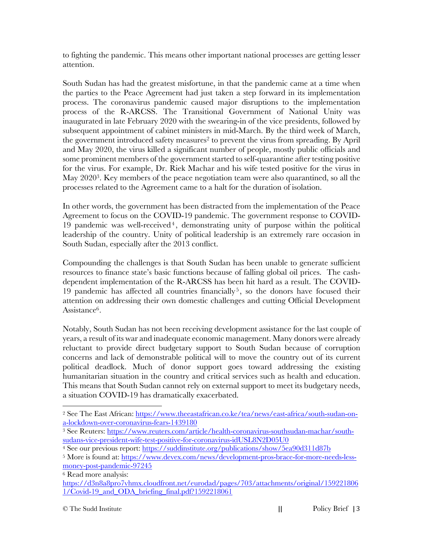to fighting the pandemic. This means other important national processes are getting lesser attention.

South Sudan has had the greatest misfortune, in that the pandemic came at a time when the parties to the Peace Agreement had just taken a step forward in its implementation process. The coronavirus pandemic caused major disruptions to the implementation process of the R-ARCSS. The Transitional Government of National Unity was inaugurated in late February 2020 with the swearing-in of the vice presidents, followed by subsequent appointment of cabinet ministers in mid-March. By the third week of March, the government introduced safety measures<sup>2</sup> to prevent the virus from spreading. By April and May 2020, the virus killed a significant number of people, mostly public officials and some prominent members of the government started to self-quarantine after testing positive for the virus. For example, Dr. Riek Machar and his wife tested positive for the virus in May 20203. Key members of the peace negotiation team were also quarantined, so all the processes related to the Agreement came to a halt for the duration of isolation.

In other words, the government has been distracted from the implementation of the Peace Agreement to focus on the COVID-19 pandemic. The government response to COVID-19 pandemic was well-received<sup>4</sup>, demonstrating unity of purpose within the political leadership of the country. Unity of political leadership is an extremely rare occasion in South Sudan, especially after the 2013 conflict.

Compounding the challenges is that South Sudan has been unable to generate sufficient resources to finance state's basic functions because of falling global oil prices. The cashdependent implementation of the R-ARCSS has been hit hard as a result. The COVID-19 pandemic has affected all countries financially<sup>5</sup>, so the donors have focused their attention on addressing their own domestic challenges and cutting Official Development Assistance<sup>6</sup>.

Notably, South Sudan has not been receiving development assistance for the last couple of years, a result of its war and inadequate economic management. Many donors were already reluctant to provide direct budgetary support to South Sudan because of corruption concerns and lack of demonstrable political will to move the country out of its current political deadlock. Much of donor support goes toward addressing the existing humanitarian situation in the country and critical services such as health and education. This means that South Sudan cannot rely on external support to meet its budgetary needs, a situation COVID-19 has dramatically exacerbated.

<sup>2</sup> See The East African: https://www.theeastafrican.co.ke/tea/news/east-africa/south-sudan-ona-lockdown-over-coronavirus-fears-1439180

<sup>3</sup> See Reuters: https://www.reuters.com/article/health-coronavirus-southsudan-machar/southsudans-vice-president-wife-test-positive-for-coronavirus-idUSL8N2D05U0

<sup>4</sup> See our previous report: https://suddinstitute.org/publications/show/5ea90d311d87b

<sup>5</sup> More is found at: https://www.devex.com/news/development-pros-brace-for-more-needs-lessmoney-post-pandemic-97245

<sup>6</sup> Read more analysis:

https://d3n8a8pro7vhmx.cloudfront.net/eurodad/pages/703/attachments/original/159221806 1/Covid-19\_and\_ODA\_briefing\_final.pdf?1592218061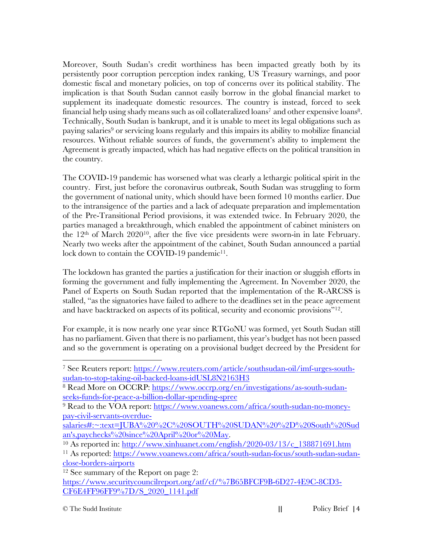Moreover, South Sudan's credit worthiness has been impacted greatly both by its persistently poor corruption perception index ranking, US Treasury warnings, and poor domestic fiscal and monetary policies, on top of concerns over its political stability. The implication is that South Sudan cannot easily borrow in the global financial market to supplement its inadequate domestic resources. The country is instead, forced to seek financial help using shady means such as oil collateralized loans<sup>7</sup> and other expensive loans<sup>8</sup>. Technically, South Sudan is bankrupt, and it is unable to meet its legal obligations such as paying salaries<sup>9</sup> or servicing loans regularly and this impairs its ability to mobilize financial resources. Without reliable sources of funds, the government's ability to implement the Agreement is greatly impacted, which has had negative effects on the political transition in the country.

The COVID-19 pandemic has worsened what was clearly a lethargic political spirit in the country. First, just before the coronavirus outbreak, South Sudan was struggling to form the government of national unity, which should have been formed 10 months earlier. Due to the intransigence of the parties and a lack of adequate preparation and implementation of the Pre-Transitional Period provisions, it was extended twice. In February 2020, the parties managed a breakthrough, which enabled the appointment of cabinet ministers on the 12th of March 202010, after the five vice presidents were sworn-in in late February. Nearly two weeks after the appointment of the cabinet, South Sudan announced a partial lock down to contain the COVID-19 pandemic<sup>11</sup>.

The lockdown has granted the parties a justification for their inaction or sluggish efforts in forming the government and fully implementing the Agreement. In November 2020, the Panel of Experts on South Sudan reported that the implementation of the R-ARCSS is stalled, "as the signatories have failed to adhere to the deadlines set in the peace agreement and have backtracked on aspects of its political, security and economic provisions"12.

For example, it is now nearly one year since RTGoNU was formed, yet South Sudan still has no parliament. Given that there is no parliament, this year's budget has not been passed and so the government is operating on a provisional budget decreed by the President for

<sup>7</sup> See Reuters report: https://www.reuters.com/article/southsudan-oil/imf-urges-southsudan-to-stop-taking-oil-backed-loans-idUSL8N2163H3

<sup>8</sup> Read More on OCCRP: https://www.occrp.org/en/investigations/as-south-sudanseeks-funds-for-peace-a-billion-dollar-spending-spree

<sup>&</sup>lt;sup>9</sup> Read to the VOA report: https://www.voanews.com/africa/south-sudan-no-moneypay-civil-servants-overdue-

salaries#:~:text=JUBA%20%2C%20SOUTH%20SUDAN%20%2D%20South%20Sud an's,paychecks%20since%20April%20or%20May.<br><sup>10</sup> As reported in: http://www.xinhuanet.com/english/2020-03/13/c\_138871691.htm

<sup>11</sup> As reported: https://www.voanews.com/africa/south-sudan-focus/south-sudan-sudanclose-borders-airports

<sup>&</sup>lt;sup>12</sup> See summary of the Report on page 2:

https://www.securitycouncilreport.org/atf/cf/%7B65BFCF9B-6D27-4E9C-8CD3- CF6E4FF96FF9%7D/S\_2020\_1141.pdf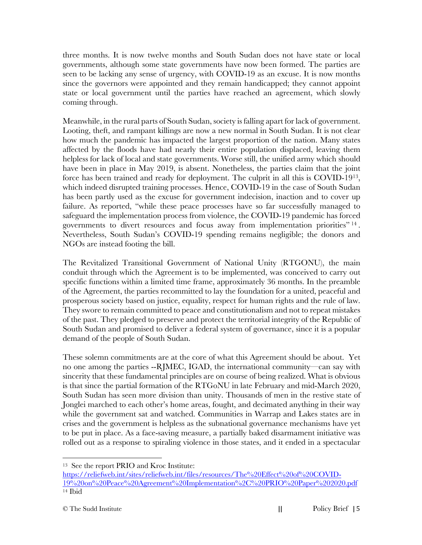three months. It is now twelve months and South Sudan does not have state or local governments, although some state governments have now been formed. The parties are seen to be lacking any sense of urgency, with COVID-19 as an excuse. It is now months since the governors were appointed and they remain handicapped; they cannot appoint state or local government until the parties have reached an agreement, which slowly coming through.

Meanwhile, in the rural parts of South Sudan, society is falling apart for lack of government. Looting, theft, and rampant killings are now a new normal in South Sudan. It is not clear how much the pandemic has impacted the largest proportion of the nation. Many states affected by the floods have had nearly their entire population displaced, leaving them helpless for lack of local and state governments. Worse still, the unified army which should have been in place in May 2019, is absent. Nonetheless, the parties claim that the joint force has been trained and ready for deployment. The culprit in all this is COVID-1913, which indeed disrupted training processes. Hence, COVID-19 in the case of South Sudan has been partly used as the excuse for government indecision, inaction and to cover up failure. As reported, "while these peace processes have so far successfully managed to safeguard the implementation process from violence, the COVID-19 pandemic has forced governments to divert resources and focus away from implementation priorities" <sup>14</sup> . Nevertheless, South Sudan's COVID-19 spending remains negligible; the donors and NGOs are instead footing the bill.

The Revitalized Transitional Government of National Unity (RTGONU), the main conduit through which the Agreement is to be implemented, was conceived to carry out specific functions within a limited time frame, approximately 36 months. In the preamble of the Agreement, the parties recommitted to lay the foundation for a united, peaceful and prosperous society based on justice, equality, respect for human rights and the rule of law. They swore to remain committed to peace and constitutionalism and not to repeat mistakes of the past. They pledged to preserve and protect the territorial integrity of the Republic of South Sudan and promised to deliver a federal system of governance, since it is a popular demand of the people of South Sudan.

These solemn commitments are at the core of what this Agreement should be about. Yet no one among the parties --RJMEC, IGAD, the international community—can say with sincerity that these fundamental principles are on course of being realized. What is obvious is that since the partial formation of the RTGoNU in late February and mid-March 2020, South Sudan has seen more division than unity. Thousands of men in the restive state of Jonglei marched to each other's home areas, fought, and decimated anything in their way while the government sat and watched. Communities in Warrap and Lakes states are in crises and the government is helpless as the subnational governance mechanisms have yet to be put in place. As a face-saving measure, a partially baked disarmament initiative was rolled out as a response to spiraling violence in those states, and it ended in a spectacular

<sup>13</sup> See the report PRIO and Kroc Institute:

https://reliefweb.int/sites/reliefweb.int/files/resources/The%20Effect%20of%20COVID-19%20on%20Peace%20Agreement%20Implementation%2C%20PRIO%20Paper%202020.pdf <sup>14</sup> Ibid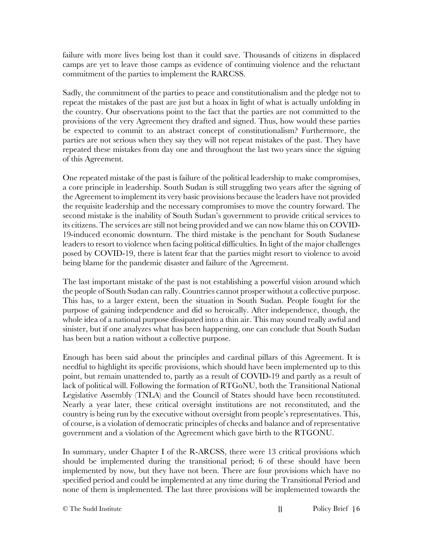failure with more lives being lost than it could save. Thousands of citizens in displaced camps are yet to leave those camps as evidence of continuing violence and the reluctant commitment of the parties to implement the RARCSS.

Sadly, the commitment of the parties to peace and constitutionalism and the pledge not to repeat the mistakes of the past are just but a hoax in light of what is actually unfolding in the country. Our observations point to the fact that the parties are not committed to the provisions of the very Agreement they drafted and signed. Thus, how would these parties be expected to commit to an abstract concept of constitutionalism? Furthermore, the parties are not serious when they say they will not repeat mistakes of the past. They have repeated these mistakes from day one and throughout the last two years since the signing of this Agreement.

One repeated mistake of the past is failure of the political leadership to make compromises, a core principle in leadership. South Sudan is still struggling two years after the signing of the Agreement to implement its very basic provisions because the leaders have not provided the requisite leadership and the necessary compromises to move the country forward. The second mistake is the inability of South Sudan's government to provide critical services to its citizens. The services are still not being provided and we can now blame this on COVID-19-induced economic downturn. The third mistake is the penchant for South Sudanese leaders to resort to violence when facing political difficulties. In light of the major challenges posed by COVID-19, there is latent fear that the parties might resort to violence to avoid being blame for the pandemic disaster and failure of the Agreement.

The last important mistake of the past is not establishing a powerful vision around which the people of South Sudan can rally. Countries cannot prosper without a collective purpose. This has, to a larger extent, been the situation in South Sudan. People fought for the purpose of gaining independence and did so heroically. After independence, though, the whole idea of a national purpose dissipated into a thin air. This may sound really awful and sinister, but if one analyzes what has been happening, one can conclude that South Sudan has been but a nation without a collective purpose.

Enough has been said about the principles and cardinal pillars of this Agreement. It is needful to highlight its specific provisions, which should have been implemented up to this point, but remain unattended to, partly as a result of COVID-19 and partly as a result of lack of political will. Following the formation of RTGoNU, both the Transitional National Legislative Assembly (TNLA) and the Council of States should have been reconstituted. Nearly a year later, these critical oversight institutions are not reconstituted, and the country is being run by the executive without oversight from people's representatives. This, of course, is a violation of democratic principles of checks and balance and of representative government and a violation of the Agreement which gave birth to the RTGONU.

In summary, under Chapter I of the R-ARCSS, there were 13 critical provisions which should be implemented during the transitional period; 6 of these should have been implemented by now, but they have not been. There are four provisions which have no specified period and could be implemented at any time during the Transitional Period and none of them is implemented. The last three provisions will be implemented towards the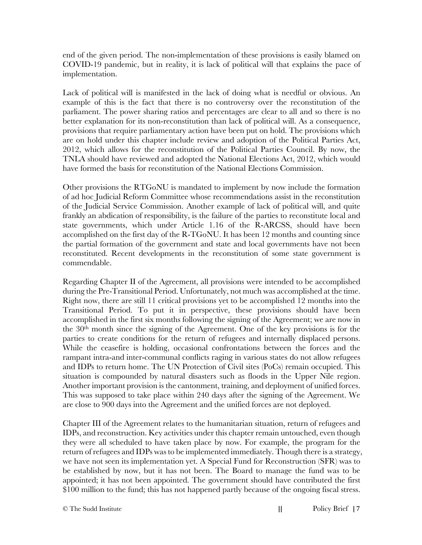end of the given period. The non-implementation of these provisions is easily blamed on COVID-19 pandemic, but in reality, it is lack of political will that explains the pace of implementation.

Lack of political will is manifested in the lack of doing what is needful or obvious. An example of this is the fact that there is no controversy over the reconstitution of the parliament. The power sharing ratios and percentages are clear to all and so there is no better explanation for its non-reconstitution than lack of political will. As a consequence, provisions that require parliamentary action have been put on hold. The provisions which are on hold under this chapter include review and adoption of the Political Parties Act, 2012, which allows for the reconstitution of the Political Parties Council. By now, the TNLA should have reviewed and adopted the National Elections Act, 2012, which would have formed the basis for reconstitution of the National Elections Commission.

Other provisions the RTGoNU is mandated to implement by now include the formation of ad hoc Judicial Reform Committee whose recommendations assist in the reconstitution of the Judicial Service Commission. Another example of lack of political will, and quite frankly an abdication of responsibility, is the failure of the parties to reconstitute local and state governments, which under Article 1.16 of the R-ARCSS, should have been accomplished on the first day of the R-TGoNU. It has been 12 months and counting since the partial formation of the government and state and local governments have not been reconstituted. Recent developments in the reconstitution of some state government is commendable.

Regarding Chapter II of the Agreement, all provisions were intended to be accomplished during the Pre-Transitional Period. Unfortunately, not much was accomplished at the time. Right now, there are still 11 critical provisions yet to be accomplished 12 months into the Transitional Period. To put it in perspective, these provisions should have been accomplished in the first six months following the signing of the Agreement; we are now in the 30th month since the signing of the Agreement. One of the key provisions is for the parties to create conditions for the return of refugees and internally displaced persons. While the ceasefire is holding, occasional confrontations between the forces and the rampant intra-and inter-communal conflicts raging in various states do not allow refugees and IDPs to return home. The UN Protection of Civil sites (PoCs) remain occupied. This situation is compounded by natural disasters such as floods in the Upper Nile region. Another important provision is the cantonment, training, and deployment of unified forces. This was supposed to take place within 240 days after the signing of the Agreement. We are close to 900 days into the Agreement and the unified forces are not deployed.

Chapter III of the Agreement relates to the humanitarian situation, return of refugees and IDPs, and reconstruction. Key activities under this chapter remain untouched, even though they were all scheduled to have taken place by now. For example, the program for the return of refugees and IDPs was to be implemented immediately. Though there is a strategy, we have not seen its implementation yet. A Special Fund for Reconstruction (SFR) was to be established by now, but it has not been. The Board to manage the fund was to be appointed; it has not been appointed. The government should have contributed the first \$100 million to the fund; this has not happened partly because of the ongoing fiscal stress.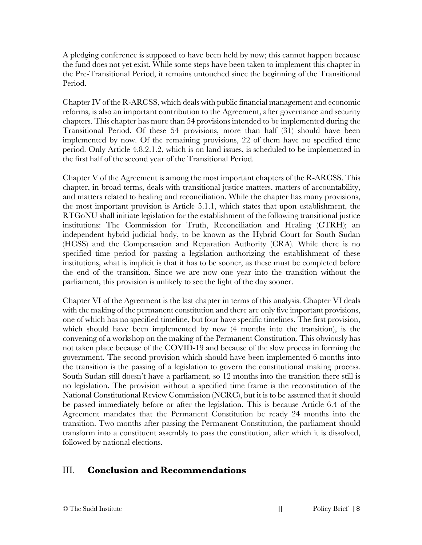A pledging conference is supposed to have been held by now; this cannot happen because the fund does not yet exist. While some steps have been taken to implement this chapter in the Pre-Transitional Period, it remains untouched since the beginning of the Transitional Period.

Chapter IV of the R-ARCSS, which deals with public financial management and economic reforms, is also an important contribution to the Agreement, after governance and security chapters. This chapter has more than 54 provisions intended to be implemented during the Transitional Period. Of these 54 provisions, more than half (31) should have been implemented by now. Of the remaining provisions, 22 of them have no specified time period. Only Article 4.8.2.1.2, which is on land issues, is scheduled to be implemented in the first half of the second year of the Transitional Period.

Chapter V of the Agreement is among the most important chapters of the R-ARCSS. This chapter, in broad terms, deals with transitional justice matters, matters of accountability, and matters related to healing and reconciliation. While the chapter has many provisions, the most important provision is Article 5.1.1, which states that upon establishment, the RTGoNU shall initiate legislation for the establishment of the following transitional justice institutions: The Commission for Truth, Reconciliation and Healing (CTRH); an independent hybrid judicial body, to be known as the Hybrid Court for South Sudan (HCSS) and the Compensation and Reparation Authority (CRA). While there is no specified time period for passing a legislation authorizing the establishment of these institutions, what is implicit is that it has to be sooner, as these must be completed before the end of the transition. Since we are now one year into the transition without the parliament, this provision is unlikely to see the light of the day sooner.

Chapter VI of the Agreement is the last chapter in terms of this analysis. Chapter VI deals with the making of the permanent constitution and there are only five important provisions, one of which has no specified timeline, but four have specific timelines. The first provision, which should have been implemented by now (4 months into the transition), is the convening of a workshop on the making of the Permanent Constitution. This obviously has not taken place because of the COVID-19 and because of the slow process in forming the government. The second provision which should have been implemented 6 months into the transition is the passing of a legislation to govern the constitutional making process. South Sudan still doesn't have a parliament, so 12 months into the transition there still is no legislation. The provision without a specified time frame is the reconstitution of the National Constitutional Review Commission (NCRC), but it is to be assumed that it should be passed immediately before or after the legislation. This is because Article 6.4 of the Agreement mandates that the Permanent Constitution be ready 24 months into the transition. Two months after passing the Permanent Constitution, the parliament should transform into a constituent assembly to pass the constitution, after which it is dissolved, followed by national elections.

#### III. **Conclusion and Recommendations**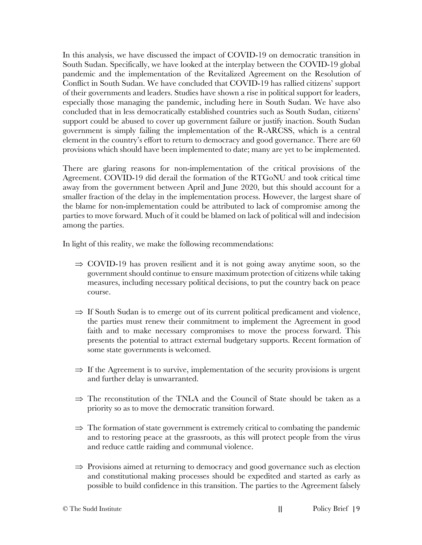In this analysis, we have discussed the impact of COVID-19 on democratic transition in South Sudan. Specifically, we have looked at the interplay between the COVID-19 global pandemic and the implementation of the Revitalized Agreement on the Resolution of Conflict in South Sudan. We have concluded that COVID-19 has rallied citizens' support of their governments and leaders. Studies have shown a rise in political support for leaders, especially those managing the pandemic, including here in South Sudan. We have also concluded that in less democratically established countries such as South Sudan, citizens' support could be abused to cover up government failure or justify inaction. South Sudan government is simply failing the implementation of the R-ARCSS, which is a central element in the country's effort to return to democracy and good governance. There are 60 provisions which should have been implemented to date; many are yet to be implemented.

There are glaring reasons for non-implementation of the critical provisions of the Agreement. COVID-19 did derail the formation of the RTGoNU and took critical time away from the government between April and June 2020, but this should account for a smaller fraction of the delay in the implementation process. However, the largest share of the blame for non-implementation could be attributed to lack of compromise among the parties to move forward. Much of it could be blamed on lack of political will and indecision among the parties.

In light of this reality, we make the following recommendations:

- $\Rightarrow$  COVID-19 has proven resilient and it is not going away anytime soon, so the government should continue to ensure maximum protection of citizens while taking measures, including necessary political decisions, to put the country back on peace course.
- $\Rightarrow$  If South Sudan is to emerge out of its current political predicament and violence, the parties must renew their commitment to implement the Agreement in good faith and to make necessary compromises to move the process forward. This presents the potential to attract external budgetary supports. Recent formation of some state governments is welcomed.
- $\Rightarrow$  If the Agreement is to survive, implementation of the security provisions is urgent and further delay is unwarranted.
- $\Rightarrow$  The reconstitution of the TNLA and the Council of State should be taken as a priority so as to move the democratic transition forward.
- $\Rightarrow$  The formation of state government is extremely critical to combating the pandemic and to restoring peace at the grassroots, as this will protect people from the virus and reduce cattle raiding and communal violence.
- $\Rightarrow$  Provisions aimed at returning to democracy and good governance such as election and constitutional making processes should be expedited and started as early as possible to build confidence in this transition. The parties to the Agreement falsely